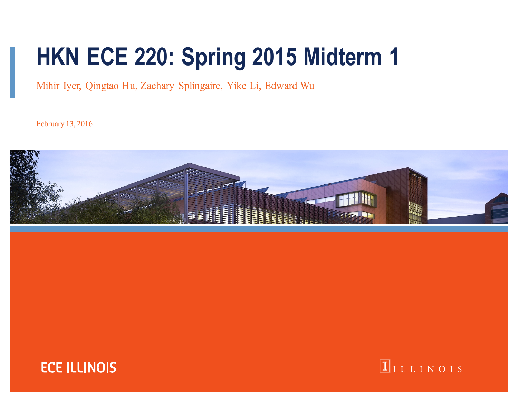# **HKN ECE 220: Spring 2015 Midterm 1**

Mihir Iyer, Qingtao Hu, Zachary Splingaire, Yike Li, Edward Wu

February 13, 2016





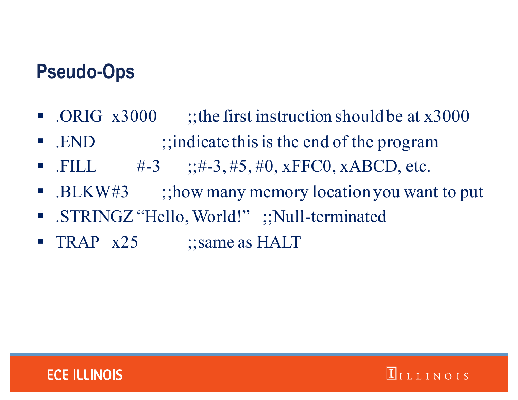### **Pseudo-Ops**

- .ORIG x3000 ;the first instruction should be at x3000
- END ;;indicate this is the end of the program
- .FILL  $\#$ -3 ;;#-3,#5,#0, xFFC0, xABCD, etc.
- .BLKW#3 ;;how many memory location you want to put

 $\Pi$ ILLINOIS

- .STRINGZ "Hello, World!";;Null-terminated
- TRAP x25 ;;same as HALT

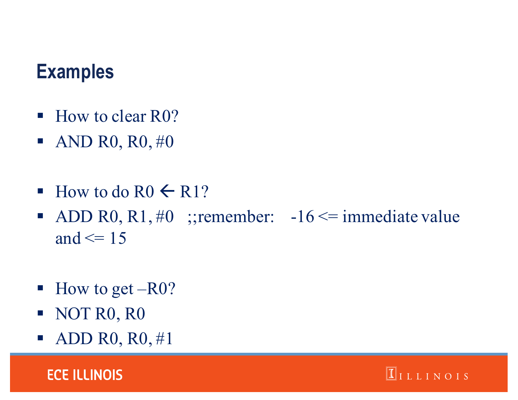### **Examples**

- How to clear R0?
- $\blacksquare$  AND R0, R0, #0
- $\blacksquare$  How to do R0  $\leftarrow$  R1?
- ADD R0, R1, #0 ;;remember:  $-16 \le i$  immediate value and  $\leq$  15
- $\blacksquare$  How to get –R0?
- § NOT R0, R0
- ADD R0,  $R0, #1$

**ECE ILLINOIS** 

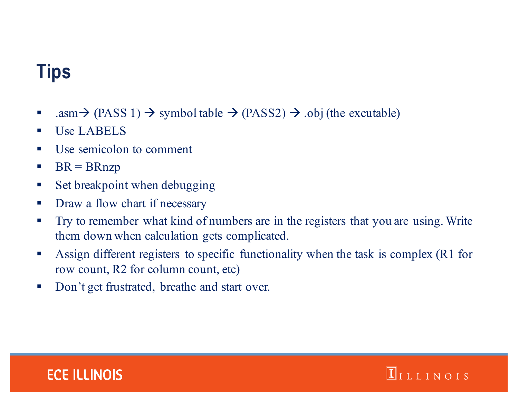# **Tips**

- asm $\rightarrow$  (PASS 1)  $\rightarrow$  symbol table  $\rightarrow$  (PASS2)  $\rightarrow$  .obj (the excutable)
- § Use LABELS
- § Use semicolon to comment
- $\blacksquare$  BR = BRnzp
- **Set breakpoint when debugging**
- **•** Draw a flow chart if necessary
- **•** Try to remember what kind of numbers are in the registers that you are using. Write them down when calculation gets complicated.
- Assign different registers to specific functionality when the task is complex (R1 for row count, R2 for column count, etc)

 $\boxed{\mathbb{I}}$ ILLINOIS

■ Don't get frustrated, breathe and start over.

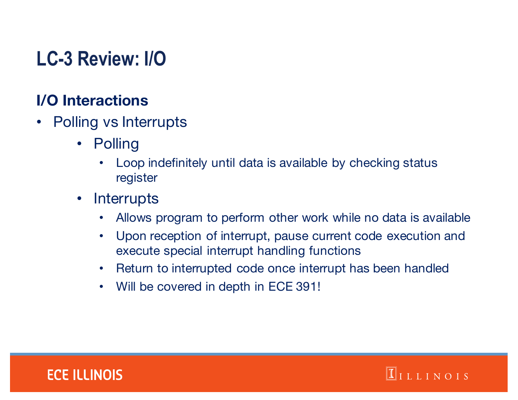# **LC-3 Review: I/O**

#### **I/O Interactions**

- Polling vs Interrupts
	- Polling
		- Loop indefinitely until data is available by checking status register
	- Interrupts
		- Allows program to perform other work while no data is available
		- Upon reception of interrupt, pause current code execution and execute special interrupt handling functions
		- Return to interrupted code once interrupt has been handled
		- Will be covered in depth in ECE 391!



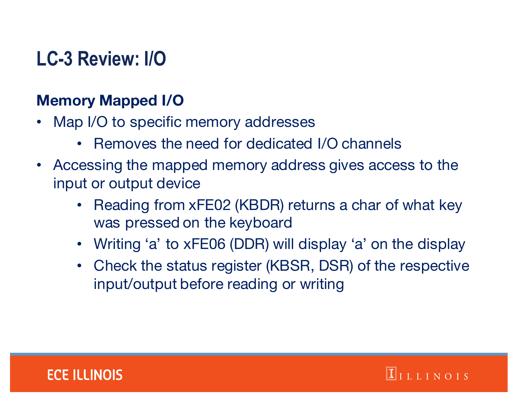# **LC-3 Review: I/O**

#### **Memory Mapped I/O**

- Map I/O to specific memory addresses
	- Removes the need for dedicated I/O channels
- Accessing the mapped memory address gives access to the input or output device
	- Reading from xFE02 (KBDR) returns a char of what key was pressed on the keyboard
	- Writing 'a' to xFE06 (DDR) will display 'a' on the display
	- Check the status register (KBSR, DSR) of the respective input/output before reading or writing



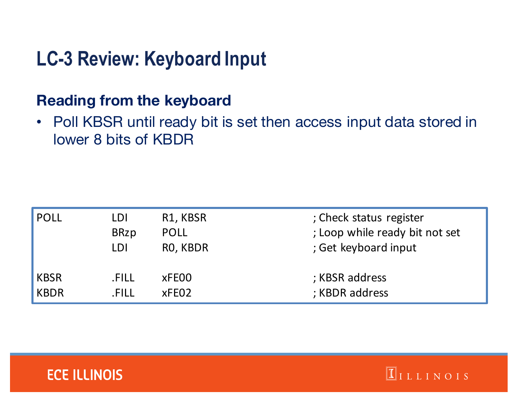# **LC-3 Review: Keyboard Input**

#### **Reading from the keyboard**

• Poll KBSR until ready bit is set then access input data stored in lower 8 bits of KBDR

| <b>POLL</b> | LDI         | R1, KBSR    | ; Check status register        |
|-------------|-------------|-------------|--------------------------------|
|             | <b>BRzp</b> | <b>POLL</b> | ; Loop while ready bit not set |
|             | LDI         | RO, KBDR    | ; Get keyboard input           |
| <b>KBSR</b> | .FILL       | xFE00       | ; KBSR address                 |
| <b>KBDR</b> | .FILL       | xFEO2       | ; KBDR address                 |

 $\boxed{\mathbb{I}}$ ILLINOIS

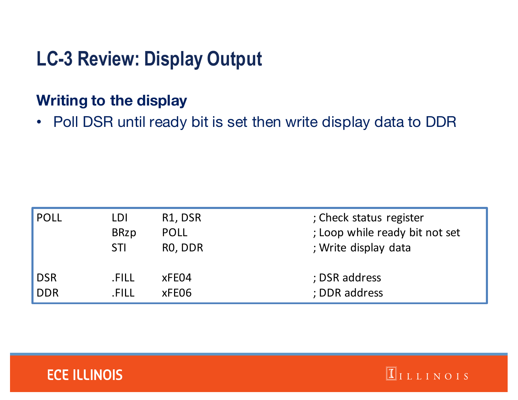# **LC-3 Review: Display Output**

#### **Writing to the display**

• Poll DSR until ready bit is set then write display data to DDR

| <b>POLL</b> | LDI         | R1, DSR     | ; Check status register        |
|-------------|-------------|-------------|--------------------------------|
|             | <b>BRzp</b> | <b>POLL</b> | ; Loop while ready bit not set |
|             | <b>STI</b>  | RO, DDR     | ; Write display data           |
| <b>DSR</b>  | .FILL       | xFE04       | ; DSR address                  |
| <b>DDR</b>  | .FILL       | xFE06       | ; DDR address                  |



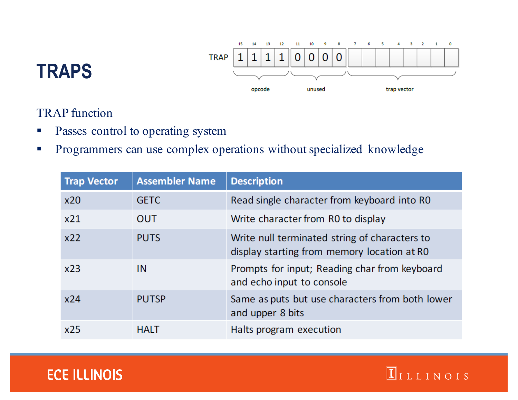

 $\Pi$ ILLINOIS

### **TRAPS**

TRAP function

- **•** Passes control to operating system
- § Programmers can use complex operations without specialized knowledge

| <b>Trap Vector</b> | <b>Assembler Name</b> | <b>Description</b>                                                                           |
|--------------------|-----------------------|----------------------------------------------------------------------------------------------|
| x20                | <b>GETC</b>           | Read single character from keyboard into RO                                                  |
| x21                | <b>OUT</b>            | Write character from R0 to display                                                           |
| x22                | <b>PUTS</b>           | Write null terminated string of characters to<br>display starting from memory location at RO |
| x23                | IN                    | Prompts for input; Reading char from keyboard<br>and echo input to console                   |
| x24                | <b>PUTSP</b>          | Same as puts but use characters from both lower<br>and upper 8 bits                          |
| x25                | <b>HALT</b>           | Halts program execution                                                                      |

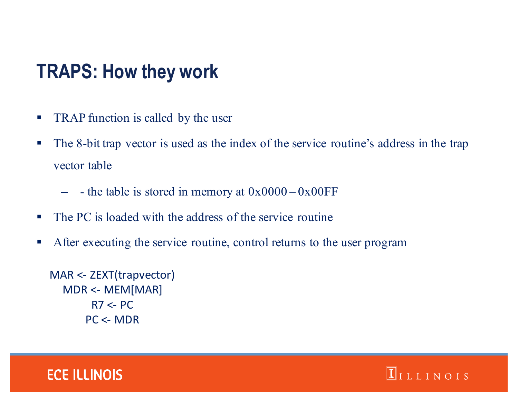### **TRAPS: How they work**

- **TRAP function is called by the user**
- § The 8-bit trap vector is used as the index of the service routine's address in the trap vector table
	- $-$  the table is stored in memory at  $0x0000 0x00FF$
- The PC is loaded with the address of the service routine
- **•** After executing the service routine, control returns to the user program

```
MAR	<- ZEXT(trapvector)
MDR <- MEM[MAR]
     R7 < PCPC	<- MDR
```


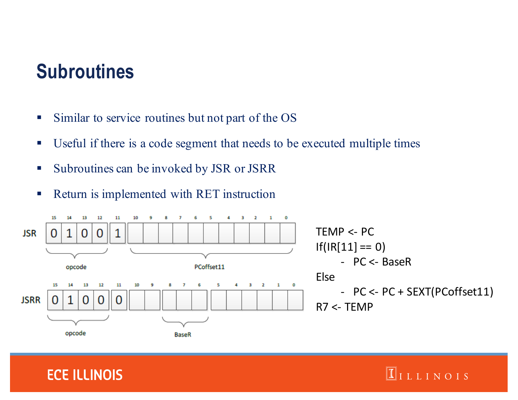### **Subroutines**

- Similar to service routines but not part of the OS
- Useful if there is a code segment that needs to be executed multiple times
- § Subroutines can be invoked by JSR or JSRR
- Return is implemented with RET instruction



 $\Pi$ ILLINOIS

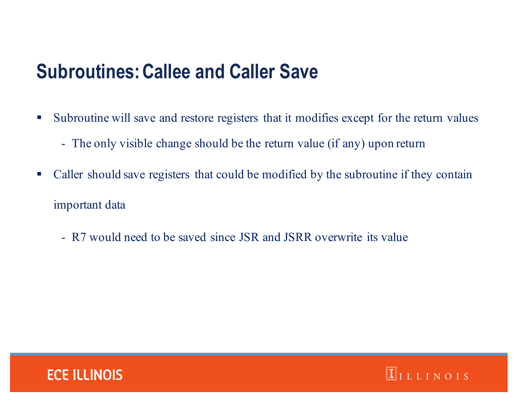### **Subroutines: Callee and Caller Save**

- § Subroutine will save and restore registers that it modifies except for the return values
	- The only visible change should be the return value (if any) upon return
- Caller should save registers that could be modified by the subroutine if they contain important data

 $\boxed{\mathbb{I}}$ ILLINOIS

- R7 would need to be saved since JSR and JSRR overwrite its value

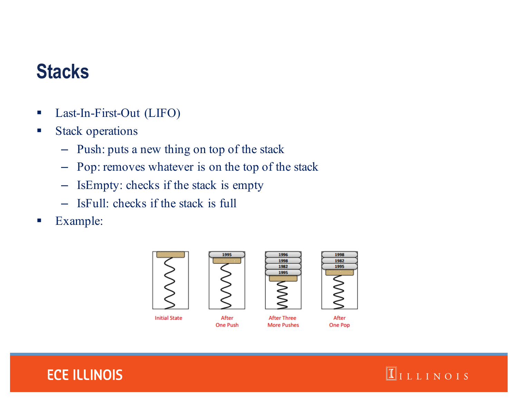## **Stacks**

- Last-In-First-Out (LIFO)
- Stack operations
	- Push: puts a new thing on top of the stack
	- Pop: removes whatever is on the top of the stack
	- IsEmpty: checks if the stack is empty
	- IsFull: checks if the stack is full
- Example:



**Initial State** 



After

**One Push** 





**After Three** 

**More Pushes**